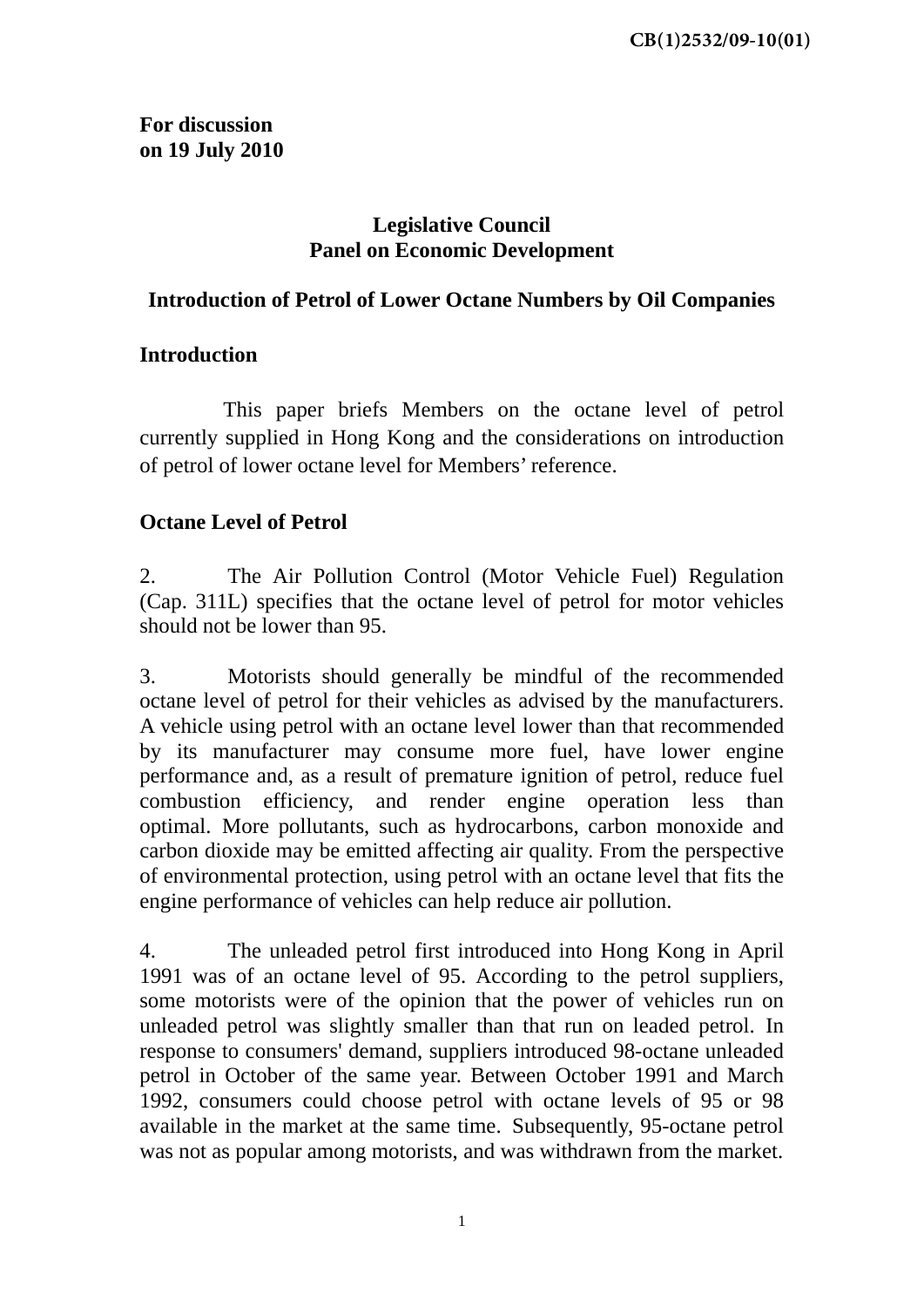**For discussion on 19 July 2010** 

## **Legislative Council Panel on Economic Development**

## **Introduction of Petrol of Lower Octane Numbers by Oil Companies**

## **Introduction**

 This paper briefs Members on the octane level of petrol currently supplied in Hong Kong and the considerations on introduction of petrol of lower octane level for Members' reference.

## **Octane Level of Petrol**

2. The Air Pollution Control (Motor Vehicle Fuel) Regulation (Cap. 311L) specifies that the octane level of petrol for motor vehicles should not be lower than 95.

3. Motorists should generally be mindful of the recommended octane level of petrol for their vehicles as advised by the manufacturers. A vehicle using petrol with an octane level lower than that recommended by its manufacturer may consume more fuel, have lower engine performance and, as a result of premature ignition of petrol, reduce fuel combustion efficiency, and render engine operation less than optimal. More pollutants, such as hydrocarbons, carbon monoxide and carbon dioxide may be emitted affecting air quality. From the perspective of environmental protection, using petrol with an octane level that fits the engine performance of vehicles can help reduce air pollution.

4. The unleaded petrol first introduced into Hong Kong in April 1991 was of an octane level of 95. According to the petrol suppliers, some motorists were of the opinion that the power of vehicles run on unleaded petrol was slightly smaller than that run on leaded petrol. In response to consumers' demand, suppliers introduced 98-octane unleaded petrol in October of the same year. Between October 1991 and March 1992, consumers could choose petrol with octane levels of 95 or 98 available in the market at the same time. Subsequently, 95-octane petrol was not as popular among motorists, and was withdrawn from the market.